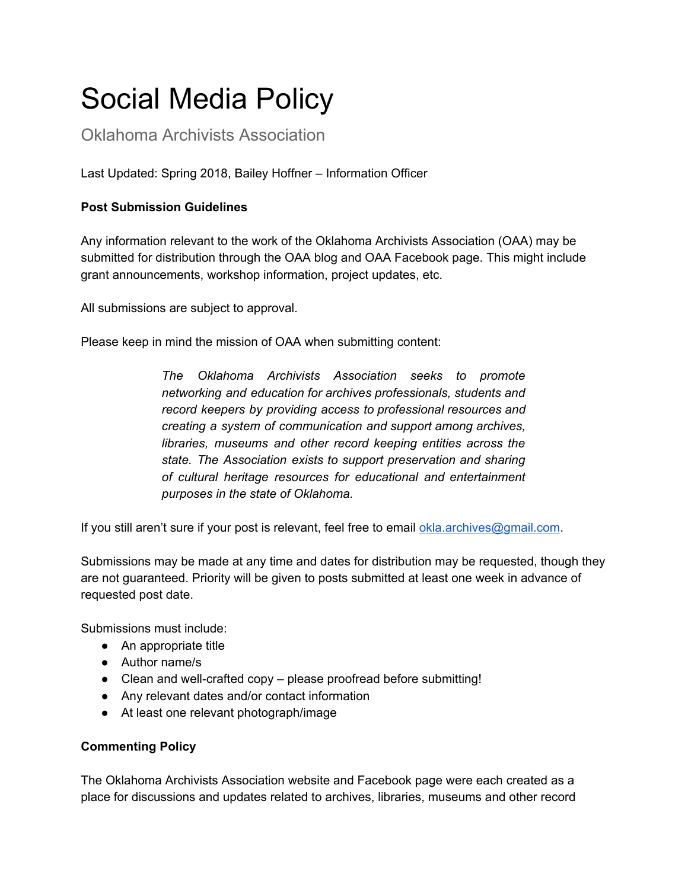## Social Media Policy

Oklahoma Archivists Association

Last Updated: Spring 2018, Bailey Hoffner – Information Officer

## **Post Submission Guidelines**

Any information relevant to the work of the Oklahoma Archivists Association (OAA) may be submitted for distribution through the OAA blog and OAA Facebook page. This might include grant announcements, workshop information, project updates, etc.

All submissions are subject to approval.

Please keep in mind the mission of OAA when submitting content:

*The Oklahoma Archivists Association seeks to promote networking and education for archives professionals, students and record keepers by providing access to professional resources and creating a system of communication and support among archives, libraries, museums and other record keeping entities across the state. The Association exists to support preservation and sharing of cultural heritage resources for educational and entertainment purposes in the state of Oklahoma.*

If you still aren't sure if your post is relevant, feel free to email [okla.archives@gmail.com.](mailto:okla.archives@gmail.com)

Submissions may be made at any time and dates for distribution may be requested, though they are not guaranteed. Priority will be given to posts submitted at least one week in advance of requested post date.

Submissions must include:

- An appropriate title
- Author name/s
- Clean and well-crafted copy please proofread before submitting!
- Any relevant dates and/or contact information
- At least one relevant photograph/image

## **Commenting Policy**

The Oklahoma Archivists Association website and Facebook page were each created as a place for discussions and updates related to archives, libraries, museums and other record